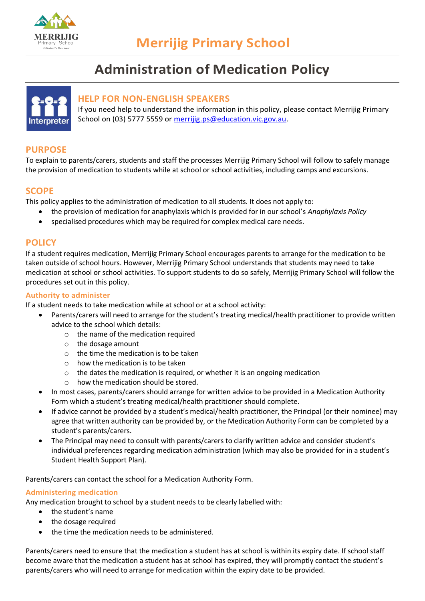

# **Administration of Medication Policy**



## **HELP FOR NON-ENGLISH SPEAKERS**

If you need help to understand the information in this policy, please contact Merrijig Primary School on (03) 5777 5559 or [merrijig.ps@education.vic.gov.au.](mailto:merrijig.ps@education.vic.gov.au)

# **PURPOSE**

To explain to parents/carers, students and staff the processes Merrijig Primary School will follow to safely manage the provision of medication to students while at school or school activities, including camps and excursions.

## **SCOPE**

This policy applies to the administration of medication to all students. It does not apply to:

- the provision of medication for anaphylaxis which is provided for in our school's *Anaphylaxis Policy*
- specialised procedures which may be required for complex medical care needs.

## **POLICY**

If a student requires medication, Merrijig Primary School encourages parents to arrange for the medication to be taken outside of school hours. However, Merrijig Primary School understands that students may need to take medication at school or school activities. To support students to do so safely, Merrijig Primary School will follow the procedures set out in this policy.

#### **Authority to administer**

If a student needs to take medication while at school or at a school activity:

- Parents/carers will need to arrange for the student's treating medical/health practitioner to provide written advice to the school which details:
	- o the name of the medication required
	- o the dosage amount
	- o the time the medication is to be taken
	- o how the medication is to be taken
	- $\circ$  the dates the medication is required, or whether it is an ongoing medication
	- o how the medication should be stored.
- In most cases, parents/carers should arrange for written advice to be provided in a Medication Authority Form which a student's treating medical/health practitioner should complete.
- If advice cannot be provided by a student's medical/health practitioner, the Principal (or their nominee) may agree that written authority can be provided by, or the Medication Authority Form can be completed by a student's parents/carers.
- The Principal may need to consult with parents/carers to clarify written advice and consider student's individual preferences regarding medication administration (which may also be provided for in a student's Student Health Support Plan).

Parents/carers can contact the school for a Medication Authority Form.

## **Administering medication**

Any medication brought to school by a student needs to be clearly labelled with:

- the student's name
- the dosage required
- the time the medication needs to be administered.

Parents/carers need to ensure that the medication a student has at school is within its expiry date. If school staff become aware that the medication a student has at school has expired, they will promptly contact the student's parents/carers who will need to arrange for medication within the expiry date to be provided.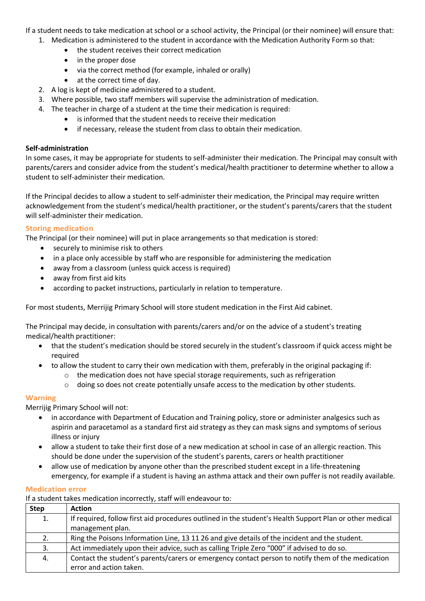If a student needs to take medication at school or a school activity, the Principal (or their nominee) will ensure that:

- 1. Medication is administered to the student in accordance with the Medication Authority Form so that:
	- the student receives their correct medication
	- in the proper dose
	- via the correct method (for example, inhaled or orally)
	- at the correct time of day.
- 2. A log is kept of medicine administered to a student.
- 3. Where possible, two staff members will supervise the administration of medication.
- 4. The teacher in charge of a student at the time their medication is required:
	- is informed that the student needs to receive their medication
	- if necessary, release the student from class to obtain their medication.

#### **Self-administration**

In some cases, it may be appropriate for students to self-administer their medication. The Principal may consult with parents/carers and consider advice from the student's medical/health practitioner to determine whether to allow a student to self-administer their medication.

If the Principal decides to allow a student to self-administer their medication, the Principal may require written acknowledgement from the student's medical/health practitioner, or the student's parents/carers that the student will self-administer their medication.

## **Storing medication**

The Principal (or their nominee) will put in place arrangements so that medication is stored:

- securely to minimise risk to others
- in a place only accessible by staff who are responsible for administering the medication
- away from a classroom (unless quick access is required)
- away from first aid kits
- according to packet instructions, particularly in relation to temperature.

For most students, Merrijig Primary School will store student medication in the First Aid cabinet.

The Principal may decide, in consultation with parents/carers and/or on the advice of a student's treating medical/health practitioner:

- that the student's medication should be stored securely in the student's classroom if quick access might be required
- to allow the student to carry their own medication with them, preferably in the original packaging if:
	- $\circ$  the medication does not have special storage requirements, such as refrigeration
	- $\circ$  doing so does not create potentially unsafe access to the medication by other students.

## **Warning**

Merrijig Primary School will not:

- in accordance with Department of Education and Training policy, store or administer analgesics such as aspirin and paracetamol as a standard first aid strategy as they can mask signs and symptoms of serious illness or injury
- allow a student to take their first dose of a new medication at school in case of an allergic reaction. This should be done under the supervision of the student's parents, carers or health practitioner
- allow use of medication by anyone other than the prescribed student except in a life-threatening emergency, for example if a student is having an asthma attack and their own puffer is not readily available.

#### **Medication error**

If a student takes medication incorrectly, staff will endeavour to:

| <b>Step</b> | <b>Action</b>                                                                                                                |
|-------------|------------------------------------------------------------------------------------------------------------------------------|
| 1.          | If required, follow first aid procedures outlined in the student's Health Support Plan or other medical<br>management plan.  |
| 2.          | Ring the Poisons Information Line, 13 11 26 and give details of the incident and the student.                                |
| 3.          | Act immediately upon their advice, such as calling Triple Zero "000" if advised to do so.                                    |
| 4.          | Contact the student's parents/carers or emergency contact person to notify them of the medication<br>error and action taken. |